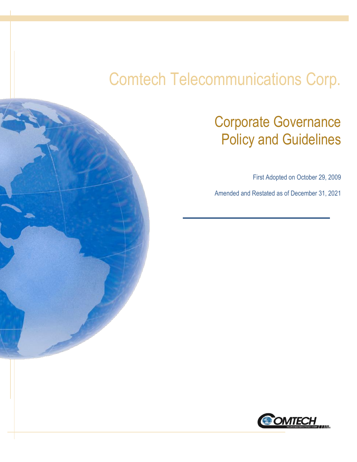# Comtech Telecommunications Corp.

## Corporate Governance Policy and Guidelines

First Adopted on October 29, 2009

Amended and Restated as of December 31, 2021

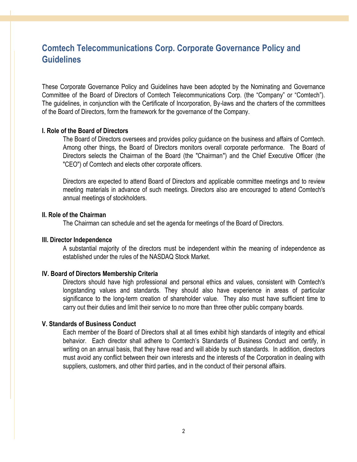### **Comtech Telecommunications Corp. Corporate Governance Policy and Guidelines**

These Corporate Governance Policy and Guidelines have been adopted by the Nominating and Governance Committee of the Board of Directors of Comtech Telecommunications Corp. (the "Company" or "Comtech"). The guidelines, in conjunction with the Certificate of Incorporation, By-laws and the charters of the committees of the Board of Directors, form the framework for the governance of the Company.

#### **I. Role of the Board of Directors**

The Board of Directors oversees and provides policy guidance on the business and affairs of Comtech. Among other things, the Board of Directors monitors overall corporate performance. The Board of Directors selects the Chairman of the Board (the "Chairman") and the Chief Executive Officer (the "CEO") of Comtech and elects other corporate officers.

Directors are expected to attend Board of Directors and applicable committee meetings and to review meeting materials in advance of such meetings. Directors also are encouraged to attend Comtech's annual meetings of stockholders.

#### **II. Role of the Chairman**

The Chairman can schedule and set the agenda for meetings of the Board of Directors.

#### **III. Director Independence**

A substantial majority of the directors must be independent within the meaning of independence as established under the rules of the NASDAQ Stock Market.

#### **IV. Board of Directors Membership Criteria**

Directors should have high professional and personal ethics and values, consistent with Comtech's longstanding values and standards. They should also have experience in areas of particular significance to the long-term creation of shareholder value. They also must have sufficient time to carry out their duties and limit their service to no more than three other public company boards.

### **V. Standards of Business Conduct**

Each member of the Board of Directors shall at all times exhibit high standards of integrity and ethical behavior. Each director shall adhere to Comtech's Standards of Business Conduct and certify, in writing on an annual basis, that they have read and will abide by such standards. In addition, directors must avoid any conflict between their own interests and the interests of the Corporation in dealing with suppliers, customers, and other third parties, and in the conduct of their personal affairs.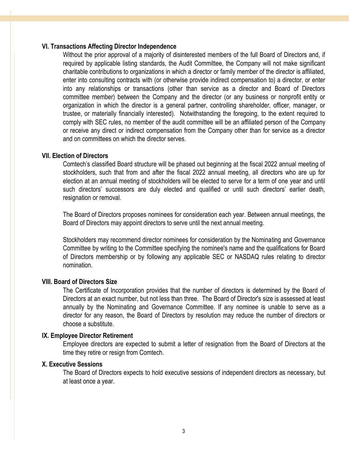#### **VI. Transactions Affecting Director Independence**

Without the prior approval of a majority of disinterested members of the full Board of Directors and, if required by applicable listing standards, the Audit Committee, the Company will not make significant charitable contributions to organizations in which a director or family member of the director is affiliated, enter into consulting contracts with (or otherwise provide indirect compensation to) a director, or enter into any relationships or transactions (other than service as a director and Board of Directors committee member) between the Company and the director (or any business or nonprofit entity or organization in which the director is a general partner, controlling shareholder, officer, manager, or trustee, or materially financially interested). Notwithstanding the foregoing, to the extent required to comply with SEC rules, no member of the audit committee will be an affiliated person of the Company or receive any direct or indirect compensation from the Company other than for service as a director and on committees on which the director serves.

#### **VII. Election of Directors**

Comtech's classified Board structure will be phased out beginning at the fiscal 2022 annual meeting of stockholders, such that from and after the fiscal 2022 annual meeting, all directors who are up for election at an annual meeting of stockholders will be elected to serve for a term of one year and until such directors' successors are duly elected and qualified or until such directors' earlier death, resignation or removal.

The Board of Directors proposes nominees for consideration each year. Between annual meetings, the Board of Directors may appoint directors to serve until the next annual meeting.

Stockholders may recommend director nominees for consideration by the Nominating and Governance Committee by writing to the Committee specifying the nominee's name and the qualifications for Board of Directors membership or by following any applicable SEC or NASDAQ rules relating to director nomination.

### **VIII. Board of Directors Size**

The Certificate of Incorporation provides that the number of directors is determined by the Board of Directors at an exact number, but not less than three. The Board of Director's size is assessed at least annually by the Nominating and Governance Committee. If any nominee is unable to serve as a director for any reason, the Board of Directors by resolution may reduce the number of directors or choose a substitute.

#### **IX. Employee Director Retirement**

Employee directors are expected to submit a letter of resignation from the Board of Directors at the time they retire or resign from Comtech.

#### **X. Executive Sessions**

The Board of Directors expects to hold executive sessions of independent directors as necessary, but at least once a year.